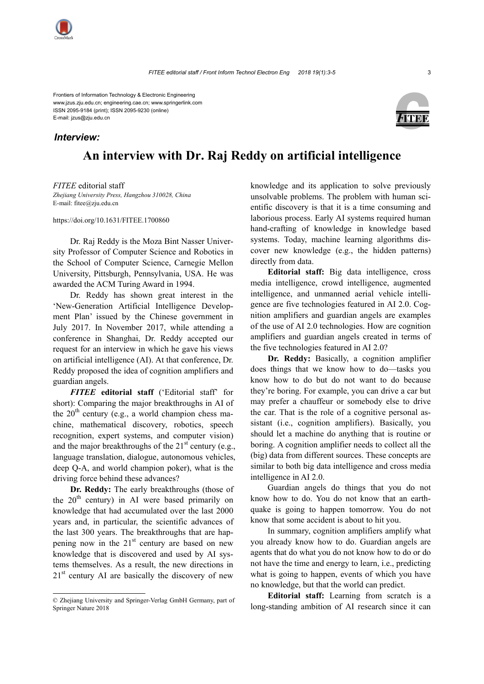Frontiers of Information Technology & Electronic Engineering www.jzus.zju.edu.cn; engineering.cae.cn; www.springerlink.com ISSN 2095-9184 (print); ISSN 2095-9230 (online) E-mail: jzus@zju.edu.cn

## *Interview:*



## **An interview with Dr. Raj Reddy on artificial intelligence**

*FITEE* editorial staff *Zhejiang University Press, Hangzhou 310028, China* E-mail: fitee@zju.edu.cn

https://doi.org/10.1631/FITEE.1700860

Dr. Raj Reddy is the Moza Bint Nasser University Professor of Computer Science and Robotics in the School of Computer Science, Carnegie Mellon University, Pittsburgh, Pennsylvania, USA. He was awarded the ACM Turing Award in 1994.

Dr. Reddy has shown great interest in the 'New-Generation Artificial Intelligence Development Plan' issued by the Chinese government in July 2017. In November 2017, while attending a conference in Shanghai, Dr. Reddy accepted our request for an interview in which he gave his views on artificial intelligence (AI). At that conference, Dr. Reddy proposed the idea of cognition amplifiers and guardian angels.

*FITEE* **editorial staff** ('Editorial staff' for short): Comparing the major breakthroughs in AI of the  $20<sup>th</sup>$  century (e.g., a world champion chess machine, mathematical discovery, robotics, speech recognition, expert systems, and computer vision) and the major breakthroughs of the  $21<sup>st</sup>$  century (e.g., language translation, dialogue, autonomous vehicles, deep Q-A, and world champion poker), what is the driving force behind these advances?

**Dr. Reddy:** The early breakthroughs (those of the  $20<sup>th</sup>$  century) in AI were based primarily on knowledge that had accumulated over the last 2000 years and, in particular, the scientific advances of the last 300 years. The breakthroughs that are happening now in the  $21<sup>st</sup>$  century are based on new knowledge that is discovered and used by AI systems themselves. As a result, the new directions in  $21<sup>st</sup>$  century AI are basically the discovery of new

knowledge and its application to solve previously unsolvable problems. The problem with human scientific discovery is that it is a time consuming and laborious process. Early AI systems required human hand-crafting of knowledge in knowledge based systems. Today, machine learning algorithms discover new knowledge (e.g., the hidden patterns) directly from data.

**Editorial staff:** Big data intelligence, cross media intelligence, crowd intelligence, augmented intelligence, and unmanned aerial vehicle intelligence are five technologies featured in AI 2.0. Cognition amplifiers and guardian angels are examples of the use of AI 2.0 technologies. How are cognition amplifiers and guardian angels created in terms of the five technologies featured in AI 2.0?

**Dr. Reddy:** Basically, a cognition amplifier does things that we know how to do—tasks you know how to do but do not want to do because they're boring. For example, you can drive a car but may prefer a chauffeur or somebody else to drive the car. That is the role of a cognitive personal assistant (i.e., cognition amplifiers). Basically, you should let a machine do anything that is routine or boring. A cognition amplifier needs to collect all the (big) data from different sources. These concepts are similar to both big data intelligence and cross media intelligence in AI 2.0.

Guardian angels do things that you do not know how to do. You do not know that an earthquake is going to happen tomorrow. You do not know that some accident is about to hit you.

In summary, cognition amplifiers amplify what you already know how to do. Guardian angels are agents that do what you do not know how to do or do not have the time and energy to learn, i.e., predicting what is going to happen, events of which you have no knowledge, but that the world can predict.

**Editorial staff:** Learning from scratch is a long-standing ambition of AI research since it can

<sup>©</sup> Zhejiang University and Springer-Verlag GmbH Germany, part of Springer Nature 2018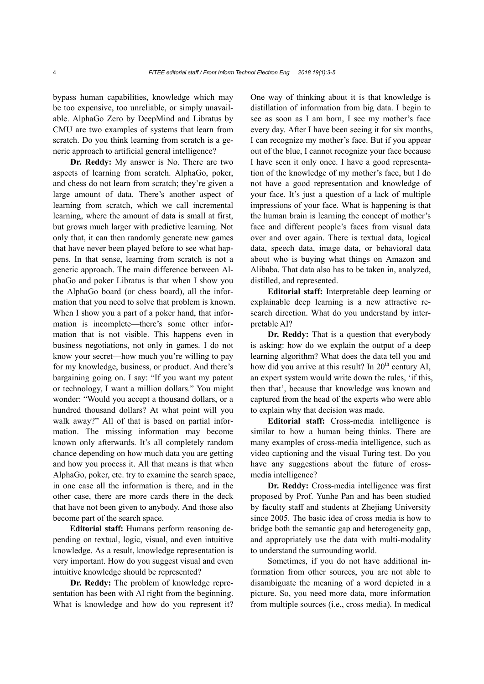bypass human capabilities, knowledge which may be too expensive, too unreliable, or simply unavailable. AlphaGo Zero by DeepMind and Libratus by CMU are two examples of systems that learn from scratch. Do you think learning from scratch is a generic approach to artificial general intelligence?

**Dr. Reddy:** My answer is No. There are two aspects of learning from scratch. AlphaGo, poker, and chess do not learn from scratch; they're given a large amount of data. There's another aspect of learning from scratch, which we call incremental learning, where the amount of data is small at first, but grows much larger with predictive learning. Not only that, it can then randomly generate new games that have never been played before to see what happens. In that sense, learning from scratch is not a generic approach. The main difference between AlphaGo and poker Libratus is that when I show you the AlphaGo board (or chess board), all the information that you need to solve that problem is known. When I show you a part of a poker hand, that information is incomplete—there's some other information that is not visible. This happens even in business negotiations, not only in games. I do not know your secret—how much you're willing to pay for my knowledge, business, or product. And there's bargaining going on. I say: "If you want my patent or technology, I want a million dollars." You might wonder: "Would you accept a thousand dollars, or a hundred thousand dollars? At what point will you walk away?" All of that is based on partial information. The missing information may become known only afterwards. It's all completely random chance depending on how much data you are getting and how you process it. All that means is that when AlphaGo, poker, etc. try to examine the search space, in one case all the information is there, and in the other case, there are more cards there in the deck that have not been given to anybody. And those also become part of the search space.

**Editorial staff:** Humans perform reasoning depending on textual, logic, visual, and even intuitive knowledge. As a result, knowledge representation is very important. How do you suggest visual and even intuitive knowledge should be represented?

**Dr. Reddy:** The problem of knowledge representation has been with AI right from the beginning. What is knowledge and how do you represent it? One way of thinking about it is that knowledge is distillation of information from big data. I begin to see as soon as I am born, I see my mother's face every day. After I have been seeing it for six months, I can recognize my mother's face. But if you appear out of the blue, I cannot recognize your face because I have seen it only once. I have a good representation of the knowledge of my mother's face, but I do not have a good representation and knowledge of your face. It's just a question of a lack of multiple impressions of your face. What is happening is that the human brain is learning the concept of mother's face and different people's faces from visual data over and over again. There is textual data, logical data, speech data, image data, or behavioral data about who is buying what things on Amazon and Alibaba. That data also has to be taken in, analyzed, distilled, and represented.

**Editorial staff:** Interpretable deep learning or explainable deep learning is a new attractive research direction. What do you understand by interpretable AI?

**Dr. Reddy:** That is a question that everybody is asking: how do we explain the output of a deep learning algorithm? What does the data tell you and how did you arrive at this result? In  $20<sup>th</sup>$  century AI, an expert system would write down the rules, 'if this, then that', because that knowledge was known and captured from the head of the experts who were able to explain why that decision was made.

**Editorial staff:** Cross-media intelligence is similar to how a human being thinks. There are many examples of cross-media intelligence, such as video captioning and the visual Turing test. Do you have any suggestions about the future of crossmedia intelligence?

**Dr. Reddy:** Cross-media intelligence was first proposed by Prof. Yunhe Pan and has been studied by faculty staff and students at Zhejiang University since 2005. The basic idea of cross media is how to bridge both the semantic gap and heterogeneity gap, and appropriately use the data with multi-modality to understand the surrounding world.

Sometimes, if you do not have additional information from other sources, you are not able to disambiguate the meaning of a word depicted in a picture. So, you need more data, more information from multiple sources (i.e., cross media). In medical